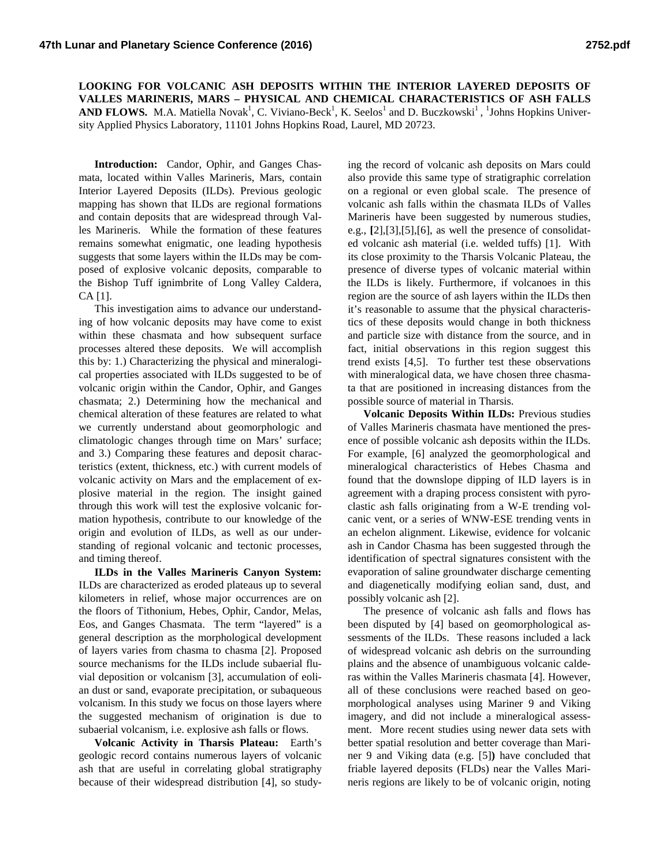**LOOKING FOR VOLCANIC ASH DEPOSITS WITHIN THE INTERIOR LAYERED DEPOSITS OF VALLES MARINERIS, MARS – PHYSICAL AND CHEMICAL CHARACTERISTICS OF ASH FALLS AND FLOWS.** M.A. Matiella Novak<sup>1</sup>, C. Viviano-Beck<sup>1</sup>, K. Seelos<sup>1</sup> and D. Buczkowski<sup>1</sup>, <sup>1</sup>Johns Hopkins University Applied Physics Laboratory, 11101 Johns Hopkins Road, Laurel, MD 20723.

**Introduction:** Candor, Ophir, and Ganges Chasmata, located within Valles Marineris, Mars, contain Interior Layered Deposits (ILDs). Previous geologic mapping has shown that ILDs are regional formations and contain deposits that are widespread through Valles Marineris. While the formation of these features remains somewhat enigmatic, one leading hypothesis suggests that some layers within the ILDs may be composed of explosive volcanic deposits, comparable to the Bishop Tuff ignimbrite of Long Valley Caldera, CA [1].

This investigation aims to advance our understanding of how volcanic deposits may have come to exist within these chasmata and how subsequent surface processes altered these deposits. We will accomplish this by: 1.) Characterizing the physical and mineralogical properties associated with ILDs suggested to be of volcanic origin within the Candor, Ophir, and Ganges chasmata; 2.) Determining how the mechanical and chemical alteration of these features are related to what we currently understand about geomorphologic and climatologic changes through time on Mars' surface; and 3.) Comparing these features and deposit characteristics (extent, thickness, etc.) with current models of volcanic activity on Mars and the emplacement of explosive material in the region. The insight gained through this work will test the explosive volcanic formation hypothesis, contribute to our knowledge of the origin and evolution of ILDs, as well as our understanding of regional volcanic and tectonic processes, and timing thereof.

**ILDs in the Valles Marineris Canyon System:** ILDs are characterized as eroded plateaus up to several kilometers in relief, whose major occurrences are on the floors of Tithonium, Hebes, Ophir, Candor, Melas, Eos, and Ganges Chasmata. The term "layered" is a general description as the morphological development of layers varies from chasma to chasma [2]. Proposed source mechanisms for the ILDs include subaerial fluvial deposition or volcanism [3], accumulation of eolian dust or sand, evaporate precipitation, or subaqueous volcanism. In this study we focus on those layers where the suggested mechanism of origination is due to subaerial volcanism, i.e. explosive ash falls or flows.

**Volcanic Activity in Tharsis Plateau:** Earth's geologic record contains numerous layers of volcanic ash that are useful in correlating global stratigraphy because of their widespread distribution [4], so study-

ing the record of volcanic ash deposits on Mars could also provide this same type of stratigraphic correlation on a regional or even global scale. The presence of volcanic ash falls within the chasmata ILDs of Valles Marineris have been suggested by numerous studies, e.g., **[**2],[3],[5],[6], as well the presence of consolidated volcanic ash material (i.e. welded tuffs) [1]. With its close proximity to the Tharsis Volcanic Plateau, the presence of diverse types of volcanic material within the ILDs is likely. Furthermore, if volcanoes in this region are the source of ash layers within the ILDs then it's reasonable to assume that the physical characteristics of these deposits would change in both thickness and particle size with distance from the source, and in fact, initial observations in this region suggest this trend exists [4,5]. To further test these observations with mineralogical data, we have chosen three chasmata that are positioned in increasing distances from the possible source of material in Tharsis.

**Volcanic Deposits Within ILDs:** Previous studies of Valles Marineris chasmata have mentioned the presence of possible volcanic ash deposits within the ILDs. For example, [6] analyzed the geomorphological and mineralogical characteristics of Hebes Chasma and found that the downslope dipping of ILD layers is in agreement with a draping process consistent with pyroclastic ash falls originating from a W-E trending volcanic vent, or a series of WNW-ESE trending vents in an echelon alignment. Likewise, evidence for volcanic ash in Candor Chasma has been suggested through the identification of spectral signatures consistent with the evaporation of saline groundwater discharge cementing and diagenetically modifying eolian sand, dust, and possibly volcanic ash [2].

The presence of volcanic ash falls and flows has been disputed by [4] based on geomorphological assessments of the ILDs. These reasons included a lack of widespread volcanic ash debris on the surrounding plains and the absence of unambiguous volcanic calderas within the Valles Marineris chasmata [4]. However, all of these conclusions were reached based on geomorphological analyses using Mariner 9 and Viking imagery, and did not include a mineralogical assessment. More recent studies using newer data sets with better spatial resolution and better coverage than Mariner 9 and Viking data (e.g. [5]**)** have concluded that friable layered deposits (FLDs) near the Valles Marineris regions are likely to be of volcanic origin, noting